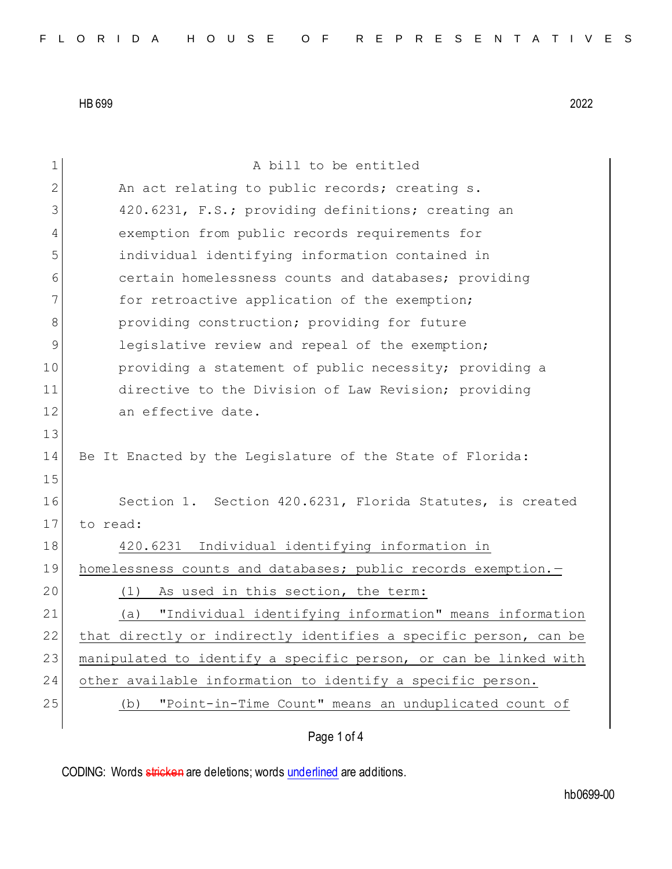| $\mathbf 1$ | A bill to be entitled                                            |  |  |  |  |  |  |  |  |  |  |
|-------------|------------------------------------------------------------------|--|--|--|--|--|--|--|--|--|--|
| 2           | An act relating to public records; creating s.                   |  |  |  |  |  |  |  |  |  |  |
| 3           | 420.6231, F.S.; providing definitions; creating an               |  |  |  |  |  |  |  |  |  |  |
| 4           | exemption from public records requirements for                   |  |  |  |  |  |  |  |  |  |  |
| 5           | individual identifying information contained in                  |  |  |  |  |  |  |  |  |  |  |
| 6           | certain homelessness counts and databases; providing             |  |  |  |  |  |  |  |  |  |  |
| 7           | for retroactive application of the exemption;                    |  |  |  |  |  |  |  |  |  |  |
| 8           | providing construction; providing for future                     |  |  |  |  |  |  |  |  |  |  |
| $\mathsf 9$ | legislative review and repeal of the exemption;                  |  |  |  |  |  |  |  |  |  |  |
| 10          | providing a statement of public necessity; providing a           |  |  |  |  |  |  |  |  |  |  |
| 11          | directive to the Division of Law Revision; providing             |  |  |  |  |  |  |  |  |  |  |
| 12          | an effective date.                                               |  |  |  |  |  |  |  |  |  |  |
| 13          |                                                                  |  |  |  |  |  |  |  |  |  |  |
| 14          | Be It Enacted by the Legislature of the State of Florida:        |  |  |  |  |  |  |  |  |  |  |
| 15          |                                                                  |  |  |  |  |  |  |  |  |  |  |
| 16          | Section 1. Section 420.6231, Florida Statutes, is created        |  |  |  |  |  |  |  |  |  |  |
| 17          | to read:                                                         |  |  |  |  |  |  |  |  |  |  |
| 18          | 420.6231 Individual identifying information in                   |  |  |  |  |  |  |  |  |  |  |
| 19          | homelessness counts and databases; public records exemption.-    |  |  |  |  |  |  |  |  |  |  |
| 20          | As used in this section, the term:<br>(1)                        |  |  |  |  |  |  |  |  |  |  |
| 21          | "Individual identifying information" means information<br>(a)    |  |  |  |  |  |  |  |  |  |  |
| 22          | that directly or indirectly identifies a specific person, can be |  |  |  |  |  |  |  |  |  |  |
| 23          | manipulated to identify a specific person, or can be linked with |  |  |  |  |  |  |  |  |  |  |
| 24          | other available information to identify a specific person.       |  |  |  |  |  |  |  |  |  |  |
| 25          | "Point-in-Time Count" means an unduplicated count of<br>(b)      |  |  |  |  |  |  |  |  |  |  |
|             | Page 1 of 4                                                      |  |  |  |  |  |  |  |  |  |  |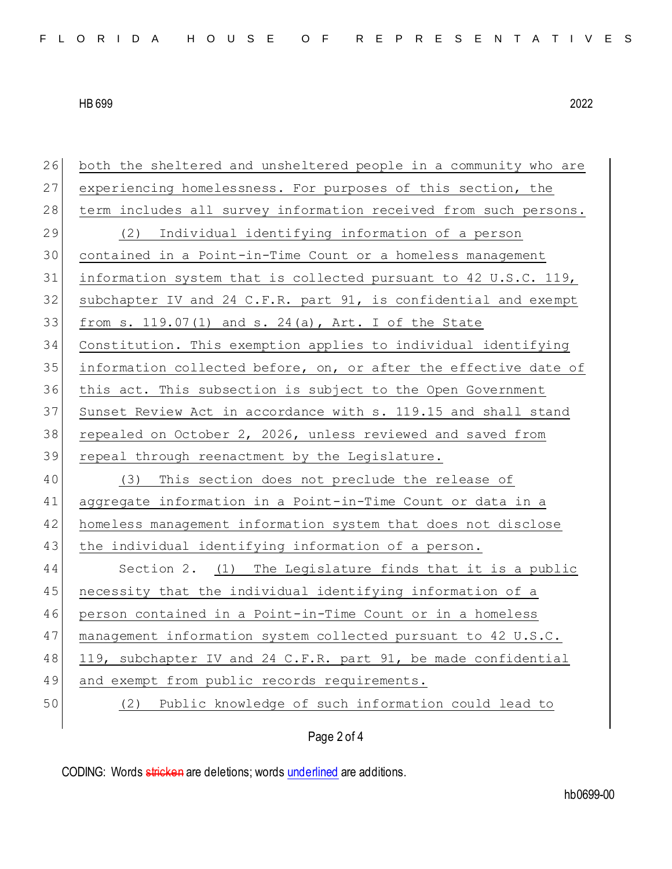| 26 | both the sheltered and unsheltered people in a community who are |  |  |  |  |  |  |  |  |  |
|----|------------------------------------------------------------------|--|--|--|--|--|--|--|--|--|
| 27 | experiencing homelessness. For purposes of this section, the     |  |  |  |  |  |  |  |  |  |
| 28 | term includes all survey information received from such persons. |  |  |  |  |  |  |  |  |  |
| 29 | Individual identifying information of a person<br>(2)            |  |  |  |  |  |  |  |  |  |
| 30 | contained in a Point-in-Time Count or a homeless management      |  |  |  |  |  |  |  |  |  |
| 31 | information system that is collected pursuant to 42 U.S.C. 119,  |  |  |  |  |  |  |  |  |  |
| 32 | subchapter IV and 24 C.F.R. part 91, is confidential and exempt  |  |  |  |  |  |  |  |  |  |
| 33 | from s. 119.07(1) and s. 24(a), Art. I of the State              |  |  |  |  |  |  |  |  |  |
| 34 | Constitution. This exemption applies to individual identifying   |  |  |  |  |  |  |  |  |  |
| 35 | information collected before, on, or after the effective date of |  |  |  |  |  |  |  |  |  |
| 36 | this act. This subsection is subject to the Open Government      |  |  |  |  |  |  |  |  |  |
| 37 | Sunset Review Act in accordance with s. 119.15 and shall stand   |  |  |  |  |  |  |  |  |  |
| 38 | repealed on October 2, 2026, unless reviewed and saved from      |  |  |  |  |  |  |  |  |  |
|    |                                                                  |  |  |  |  |  |  |  |  |  |
| 39 | repeal through reenactment by the Legislature.                   |  |  |  |  |  |  |  |  |  |
| 40 | This section does not preclude the release of<br>(3)             |  |  |  |  |  |  |  |  |  |
| 41 | aggregate information in a Point-in-Time Count or data in a      |  |  |  |  |  |  |  |  |  |
| 42 | homeless management information system that does not disclose    |  |  |  |  |  |  |  |  |  |
| 43 | the individual identifying information of a person.              |  |  |  |  |  |  |  |  |  |
| 44 | Section 2. (1) The Legislature finds that it is a public         |  |  |  |  |  |  |  |  |  |
| 45 | necessity that the individual identifying information of a       |  |  |  |  |  |  |  |  |  |
| 46 | person contained in a Point-in-Time Count or in a homeless       |  |  |  |  |  |  |  |  |  |
| 47 | management information system collected pursuant to 42 U.S.C.    |  |  |  |  |  |  |  |  |  |
| 48 | 119, subchapter IV and 24 C.F.R. part 91, be made confidential   |  |  |  |  |  |  |  |  |  |
| 49 | and exempt from public records requirements.                     |  |  |  |  |  |  |  |  |  |
| 50 | Public knowledge of such information could lead to<br>(2)        |  |  |  |  |  |  |  |  |  |

## Page 2 of 4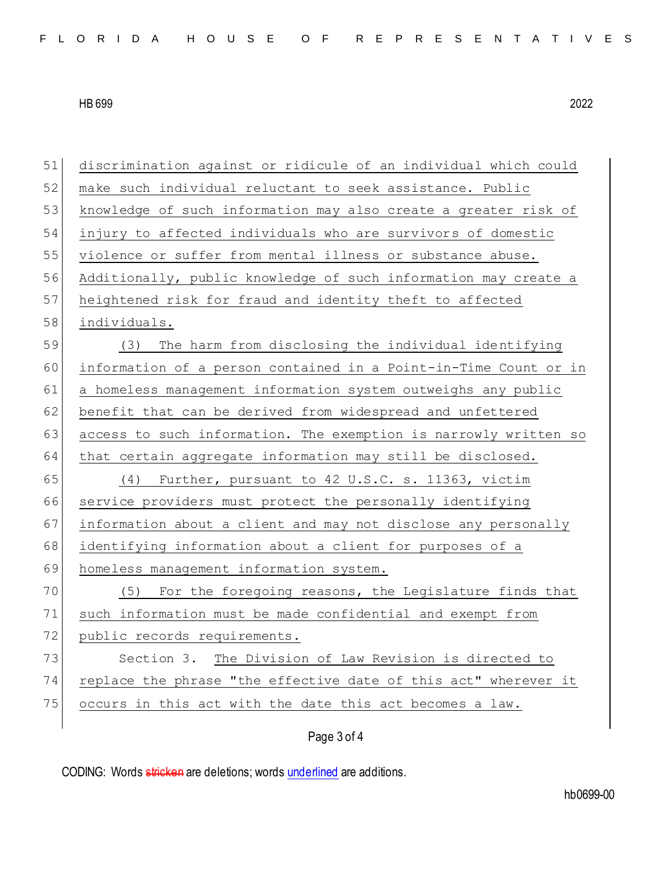| 51 | discrimination against or ridicule of an individual which could  |  |  |  |  |  |  |  |  |  |
|----|------------------------------------------------------------------|--|--|--|--|--|--|--|--|--|
| 52 | make such individual reluctant to seek assistance. Public        |  |  |  |  |  |  |  |  |  |
| 53 | knowledge of such information may also create a greater risk of  |  |  |  |  |  |  |  |  |  |
| 54 | injury to affected individuals who are survivors of domestic     |  |  |  |  |  |  |  |  |  |
| 55 | violence or suffer from mental illness or substance abuse.       |  |  |  |  |  |  |  |  |  |
| 56 | Additionally, public knowledge of such information may create a  |  |  |  |  |  |  |  |  |  |
| 57 | heightened risk for fraud and identity theft to affected         |  |  |  |  |  |  |  |  |  |
| 58 | individuals.                                                     |  |  |  |  |  |  |  |  |  |
| 59 | (3) The harm from disclosing the individual identifying          |  |  |  |  |  |  |  |  |  |
| 60 | information of a person contained in a Point-in-Time Count or in |  |  |  |  |  |  |  |  |  |
| 61 | a homeless management information system outweighs any public    |  |  |  |  |  |  |  |  |  |
| 62 | benefit that can be derived from widespread and unfettered       |  |  |  |  |  |  |  |  |  |
| 63 | access to such information. The exemption is narrowly written so |  |  |  |  |  |  |  |  |  |
| 64 | that certain aggregate information may still be disclosed.       |  |  |  |  |  |  |  |  |  |
| 65 | (4) Further, pursuant to 42 U.S.C. s. 11363, victim              |  |  |  |  |  |  |  |  |  |
| 66 | service providers must protect the personally identifying        |  |  |  |  |  |  |  |  |  |
| 67 | information about a client and may not disclose any personally   |  |  |  |  |  |  |  |  |  |
| 68 | identifying information about a client for purposes of a         |  |  |  |  |  |  |  |  |  |
| 69 | homeless management information system.                          |  |  |  |  |  |  |  |  |  |
| 70 | (5) For the foregoing reasons, the Legislature finds that        |  |  |  |  |  |  |  |  |  |
| 71 | such information must be made confidential and exempt from       |  |  |  |  |  |  |  |  |  |
| 72 | public records requirements.                                     |  |  |  |  |  |  |  |  |  |
| 73 | Section 3. The Division of Law Revision is directed to           |  |  |  |  |  |  |  |  |  |
| 74 | replace the phrase "the effective date of this act" wherever it  |  |  |  |  |  |  |  |  |  |
| 75 | occurs in this act with the date this act becomes a law.         |  |  |  |  |  |  |  |  |  |
|    |                                                                  |  |  |  |  |  |  |  |  |  |

Page 3 of 4